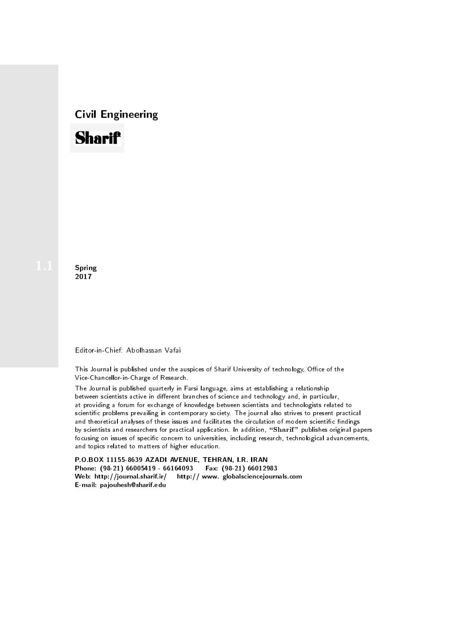# Civil Engineering



**Spring** 2017

#### Editor-in-Chief: Abolhassan Vafai

This Journal is published under the auspices of Sharif University of technology, Office of the Vice-Chancellor-in-Charge of Research.

The Journal is published quarterly in Farsi language, aims at establishing a relationship between scientists active in different branches of science and technology and, in particular, at providing a forum for exchange of knowledge between scientists and technologists related to scientic problems prevailing in contemporary society. The journal also strives to present practical and theoretical analyses of these issues and facilitates the circulation of modern scientific findings by scientists and researchers for practical application. In addition, "Sharif" publishes original papers focusing on issues of specific concern to universities, including research, technological advancements, and topics related to matters of higher education.

P.O.BOX 11155-8639 AZADI AVENUE, TEHRAN, I.R. IRAN Phone: (98-21) 66005419 - 66164093 Fax: (98-21) 66012983 Web: http://journal.sharif.ir/ http:// www. globalsciencejournals.com E-mail: pajouhesh@sharif.edu